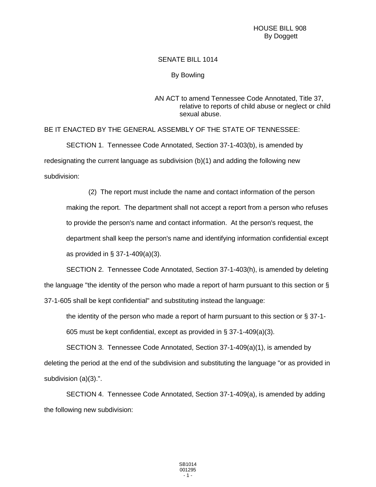## SENATE BILL 1014

## By Bowling

## AN ACT to amend Tennessee Code Annotated, Title 37, relative to reports of child abuse or neglect or child sexual abuse.

BE IT ENACTED BY THE GENERAL ASSEMBLY OF THE STATE OF TENNESSEE:

SECTION 1. Tennessee Code Annotated, Section 37-1-403(b), is amended by redesignating the current language as subdivision (b)(1) and adding the following new subdivision:

(2) The report must include the name and contact information of the person making the report. The department shall not accept a report from a person who refuses to provide the person's name and contact information. At the person's request, the department shall keep the person's name and identifying information confidential except as provided in § 37-1-409(a)(3).

SECTION 2. Tennessee Code Annotated, Section 37-1-403(h), is amended by deleting the language "the identity of the person who made a report of harm pursuant to this section or § 37-1-605 shall be kept confidential" and substituting instead the language:

the identity of the person who made a report of harm pursuant to this section or § 37-1-

605 must be kept confidential, except as provided in § 37-1-409(a)(3).

SECTION 3. Tennessee Code Annotated, Section 37-1-409(a)(1), is amended by deleting the period at the end of the subdivision and substituting the language "or as provided in subdivision (a)(3).".

SECTION 4. Tennessee Code Annotated, Section 37-1-409(a), is amended by adding the following new subdivision: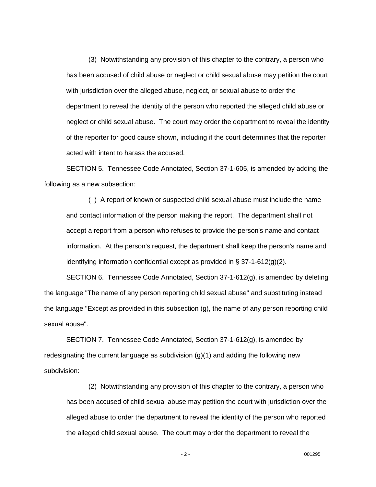(3) Notwithstanding any provision of this chapter to the contrary, a person who has been accused of child abuse or neglect or child sexual abuse may petition the court with jurisdiction over the alleged abuse, neglect, or sexual abuse to order the department to reveal the identity of the person who reported the alleged child abuse or neglect or child sexual abuse. The court may order the department to reveal the identity of the reporter for good cause shown, including if the court determines that the reporter acted with intent to harass the accused.

SECTION 5. Tennessee Code Annotated, Section 37-1-605, is amended by adding the following as a new subsection:

( ) A report of known or suspected child sexual abuse must include the name and contact information of the person making the report. The department shall not accept a report from a person who refuses to provide the person's name and contact information. At the person's request, the department shall keep the person's name and identifying information confidential except as provided in § 37-1-612(g)(2).

SECTION 6. Tennessee Code Annotated, Section 37-1-612(g), is amended by deleting the language "The name of any person reporting child sexual abuse" and substituting instead the language "Except as provided in this subsection (g), the name of any person reporting child sexual abuse".

SECTION 7. Tennessee Code Annotated, Section 37-1-612(g), is amended by redesignating the current language as subdivision (g)(1) and adding the following new subdivision:

(2) Notwithstanding any provision of this chapter to the contrary, a person who has been accused of child sexual abuse may petition the court with jurisdiction over the alleged abuse to order the department to reveal the identity of the person who reported the alleged child sexual abuse. The court may order the department to reveal the

- 2 - 001295